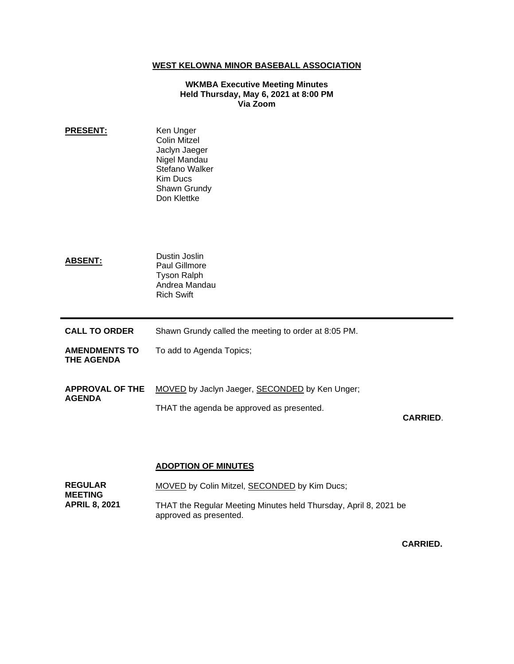## **WEST KELOWNA MINOR BASEBALL ASSOCIATION**

## **WKMBA Executive Meeting Minutes Held Thursday, May 6, 2021 at 8:00 PM Via Zoom**

**PRESENT:** Ken Unger Colin Mitzel Jaclyn Jaeger Nigel Mandau Stefano Walker Kim Ducs Shawn Grundy Don Klettke **ABSENT:** Dustin Joslin Paul Gillmore Tyson Ralph Andrea Mandau Rich Swift **CALL TO ORDER** Shawn Grundy called the meeting to order at 8:05 PM. **AMENDMENTS TO THE AGENDA** To add to Agenda Topics; **APPROVAL OF THE AGENDA** MOVED by Jaclyn Jaeger, SECONDED by Ken Unger; THAT the agenda be approved as presented. **CARRIED**.

## **ADOPTION OF MINUTES**

| <b>REGULAR</b><br><b>MEETING</b> | MOVED by Colin Mitzel, SECONDED by Kim Ducs;                                               |
|----------------------------------|--------------------------------------------------------------------------------------------|
| <b>APRIL 8. 2021</b>             | THAT the Regular Meeting Minutes held Thursday, April 8, 2021 be<br>approved as presented. |

**CARRIED.**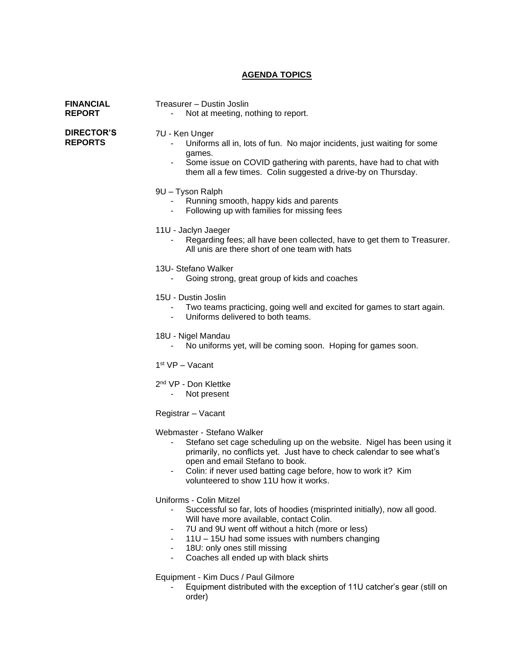## **AGENDA TOPICS**

| <b>FINANCIAL</b><br><b>REPORT</b>   | Treasurer - Dustin Joslin<br>Not at meeting, nothing to report.                                                                                                                                                                                                                                                                                                                         |
|-------------------------------------|-----------------------------------------------------------------------------------------------------------------------------------------------------------------------------------------------------------------------------------------------------------------------------------------------------------------------------------------------------------------------------------------|
| <b>DIRECTOR'S</b><br><b>REPORTS</b> | 7U - Ken Unger<br>Uniforms all in, lots of fun. No major incidents, just waiting for some<br>games.<br>Some issue on COVID gathering with parents, have had to chat with<br>them all a few times. Colin suggested a drive-by on Thursday.                                                                                                                                               |
|                                     | 9U - Tyson Ralph<br>Running smooth, happy kids and parents<br>Following up with families for missing fees                                                                                                                                                                                                                                                                               |
|                                     | 11U - Jaclyn Jaeger<br>Regarding fees; all have been collected, have to get them to Treasurer.<br>All unis are there short of one team with hats                                                                                                                                                                                                                                        |
|                                     | 13U- Stefano Walker<br>Going strong, great group of kids and coaches                                                                                                                                                                                                                                                                                                                    |
|                                     | 15U - Dustin Joslin<br>Two teams practicing, going well and excited for games to start again.<br>Uniforms delivered to both teams.<br>$\blacksquare$                                                                                                                                                                                                                                    |
|                                     | 18U - Nigel Mandau<br>No uniforms yet, will be coming soon. Hoping for games soon.                                                                                                                                                                                                                                                                                                      |
|                                     | $1st VP - Vacant$                                                                                                                                                                                                                                                                                                                                                                       |
|                                     | 2 <sup>nd</sup> VP - Don Klettke<br>Not present                                                                                                                                                                                                                                                                                                                                         |
|                                     | Registrar - Vacant                                                                                                                                                                                                                                                                                                                                                                      |
|                                     | Webmaster - Stefano Walker<br>Stefano set cage scheduling up on the website. Nigel has been using it<br>primarily, no conflicts yet. Just have to check calendar to see what's<br>open and email Stefano to book.<br>Colin: if never used batting cage before, how to work it? Kim<br>volunteered to show 11U how it works.                                                             |
|                                     | Uniforms - Colin Mitzel<br>Successful so far, lots of hoodies (misprinted initially), now all good.<br>Will have more available, contact Colin.<br>7U and 9U went off without a hitch (more or less)<br>$\blacksquare$<br>11U - 15U had some issues with numbers changing<br>18U: only ones still missing<br>$\blacksquare$<br>Coaches all ended up with black shirts<br>$\blacksquare$ |
|                                     | Equipment - Kim Ducs / Paul Gilmore                                                                                                                                                                                                                                                                                                                                                     |

- Equipment distributed with the exception of 11U catcher's gear (still on order)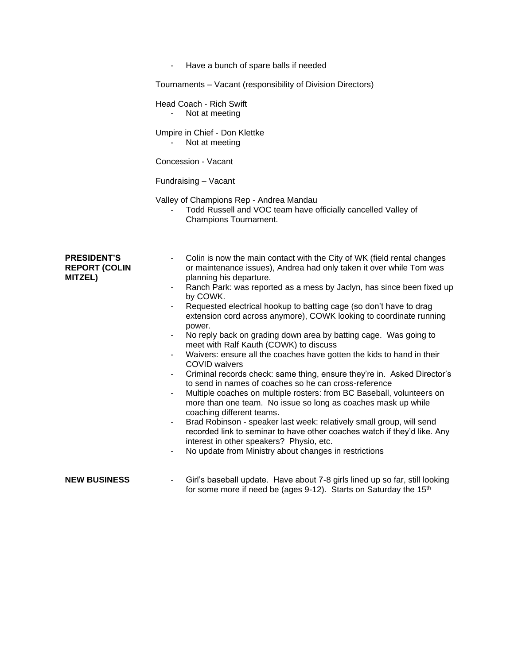- Have a bunch of spare balls if needed

Tournaments – Vacant (responsibility of Division Directors)

Head Coach - Rich Swift

- Not at meeting

Umpire in Chief - Don Klettke

- Not at meeting

Concession - Vacant

Fundraising – Vacant

Valley of Champions Rep - Andrea Mandau

- Todd Russell and VOC team have officially cancelled Valley of Champions Tournament.

| <b>PRESIDENT'S</b><br><b>REPORT (COLIN</b><br><b>MITZEL)</b><br>$\overline{\phantom{a}}$<br>$\overline{\phantom{a}}$<br>$\overline{\phantom{a}}$<br>$\blacksquare$<br>$\blacksquare$<br>$\blacksquare$<br>$\blacksquare$<br>$\blacksquare$ | Colin is now the main contact with the City of WK (field rental changes<br>or maintenance issues), Andrea had only taken it over while Tom was<br>planning his departure.<br>Ranch Park: was reported as a mess by Jaclyn, has since been fixed up<br>by COWK.<br>Requested electrical hookup to batting cage (so don't have to drag<br>extension cord across anymore), COWK looking to coordinate running<br>power.<br>No reply back on grading down area by batting cage. Was going to<br>meet with Ralf Kauth (COWK) to discuss<br>Waivers: ensure all the coaches have gotten the kids to hand in their<br><b>COVID</b> waivers<br>Criminal records check: same thing, ensure they're in. Asked Director's<br>to send in names of coaches so he can cross-reference<br>Multiple coaches on multiple rosters: from BC Baseball, volunteers on<br>more than one team. No issue so long as coaches mask up while<br>coaching different teams.<br>Brad Robinson - speaker last week: relatively small group, will send<br>recorded link to seminar to have other coaches watch if they'd like. Any<br>interest in other speakers? Physio, etc.<br>No update from Ministry about changes in restrictions |
|--------------------------------------------------------------------------------------------------------------------------------------------------------------------------------------------------------------------------------------------|---------------------------------------------------------------------------------------------------------------------------------------------------------------------------------------------------------------------------------------------------------------------------------------------------------------------------------------------------------------------------------------------------------------------------------------------------------------------------------------------------------------------------------------------------------------------------------------------------------------------------------------------------------------------------------------------------------------------------------------------------------------------------------------------------------------------------------------------------------------------------------------------------------------------------------------------------------------------------------------------------------------------------------------------------------------------------------------------------------------------------------------------------------------------------------------------------------|
| <b>NEW BUSINESS</b>                                                                                                                                                                                                                        | Girl's baseball update. Have about 7-8 girls lined up so far, still looking                                                                                                                                                                                                                                                                                                                                                                                                                                                                                                                                                                                                                                                                                                                                                                                                                                                                                                                                                                                                                                                                                                                             |
| ٠                                                                                                                                                                                                                                          | for some more if need be (ages 9-12). Starts on Saturday the 15 <sup>th</sup>                                                                                                                                                                                                                                                                                                                                                                                                                                                                                                                                                                                                                                                                                                                                                                                                                                                                                                                                                                                                                                                                                                                           |